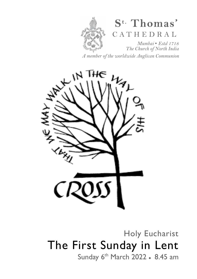

# **S t. Thomas'**  C A T H E D R A L

*Mumbai* • *Estd 1718 The Church of North India* 

*A member of the worldwide Anglican Communion* 



Holy Eucharist The First Sunday in Lent Sunday 6<sup>th</sup> March 2022 • 8.45 am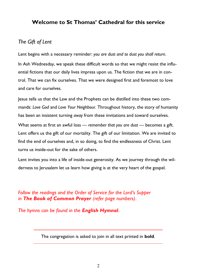### **Welcome to St Thomas' Cathedral for this service**

### *The Gift of Lent*

Lent begins with a necessary reminder: *you are dust and to dust you shall return*.

In Ash Wednesday, we speak these difficult words so that we might resist the influential fictions that our daily lives impress upon us. The fiction that we are in control. That we can fix ourselves. That we were designed first and foremost to love and care for ourselves.

Jesus tells us that the Law and the Prophets can be distilled into these two commands: *Love God* and *Love Your Neighbour.* Throughout history, the story of humanity has been an insistent turning *away* from these invitations and toward ourselves. What seems at first an awful loss — *remember that you are dust* — becomes a gift. Lent offers us the gift of our mortality. The gift of our limitation. We are invited to find the end of ourselves and, in so doing, to find the endlessness of Christ. Lent turns us inside-out for the sake of others.

Lent invites you into a life of inside-out generosity. As we journey through the wilderness to Jerusalem let us learn how giving is at the very heart of the gospel.

*Follow the readings and the Order of Service for the Lord's Supper in The Book of Common Prayer (refer page numbers)*.

*The hymns can be found in the English Hymnal*.

The congregation is asked to join in all text printed in **bold**.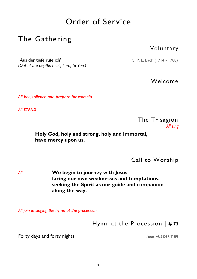## Order of Service

## The Gathering

### Voluntary

'Aus der tiefe rufe ich' C. P. E. Bach (1714 - 1788) *(Out of the depths I call, Lord, to You.)* 

Welcome

*All keep silence and prepare for worship.* 

*All STAND* 

 The Trisagion *All sing* 

### **Holy God, holy and strong, holy and immortal, have mercy upon us.**

Call to Worship

*All* **We begin to journey with Jesus facing our own weaknesses and temptations.** **seeking the Spirit as our guide and companion along the way.** 

*All join in singing the hymn at the procession.* 

Hymn at the Procession | *# 73* 

**Forty days and forty nights Tune: AUS DER TIEFE**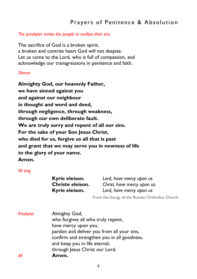## Prayers of Penitence & Absolution

#### *The presbyter invites the people to confess their sins.*

The sacrifice of God is a broken spirit; a broken and contrite heart God will not despise. Let us come to the Lord, who is full of compassion, and acknowledge our transgressions in penitence and faith.

#### *Silence.*

**Almighty God, our heavenly Father, we have sinned against you and against our neighbour in thought and word and deed, through negligence, through weakness, through our own deliberate fault. We are truly sorry and repent of all our sins. For the sake of your Son Jesus Christ, who died for us, forgive us all that is past and grant that we may serve you in newness of life to the glory of your name. Amen.** 

#### *All sing.*

| Kyrie eleison.   | Lord, have mercy upon us    |
|------------------|-----------------------------|
| Christe eleison. | Christ, have mercy upon us. |
| Kyrie eleison.   | Lord, have mercy upon us    |

From the liturgy of the Russian Orthodox Church

*Presbyter* Almighty God, who forgives all who truly repent, have mercy upon you, pardon and deliver you from all your sins, confirm and strengthen you in all goodness, and keep you in life eternal; through Jesus Christ our Lord. *All* **Amen.**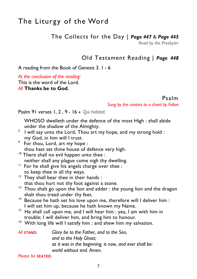## The Liturgy of the Word

The Collects for the Day | *Page 447 & Page 445* 

*Read by the Presbyter* 

### Old Testament Reading | *Page 448*

A reading from the Book of Genesis 3. 1 - 6

*At the conclusion of the reading:* 

This is the word of the Lord. *All* **Thanks be to God***.* 

#### Psalm

*Sung by the cantors to a chant by Felton* 

Psalm 91 verses 1, 2 , 9 - 16 ● *Qui habitat* 

 WHOSO dwelleth under the defence of the most High : shall abide under the shadow of the Almighty.

- $2$  I will say unto the Lord, Thou art my hope, and my strong hold : my God, in him will I trust.
- $9$  For thou, Lord, art my hope : thou hast set thine house of defence very high.
- <sup>10</sup> There shall no evil happen unto thee : neither shall any plague come nigh thy dwelling.
- $11$  For he shall give his angels charge over thee : to keep thee in all thy ways.
- $12$  They shall bear thee in their hands : that thou hurt not thy foot against a stone.
- <sup>13</sup> Thou shalt go upon the lion and adder : the young lion and the dragon shalt thou tread under thy feet.
- $14$  Because he hath set his love upon me, therefore will I deliver him : I will set him up, because he hath known my Name.
- <sup>15</sup> He shall call upon me, and I will hear him : yea, I am with him in trouble; I will deliver him, and bring him to honour.
- <sup>16</sup> With long life will I satisfy him : and shew him my salvation.

| All STAND. | Glory be to the Father, and to the Son,                |
|------------|--------------------------------------------------------|
|            | and to the Holy Ghost;                                 |
|            | as it was in the beginning, is now, and ever shall be: |
|            | world without end. Amen.                               |

*Please be SEATED.*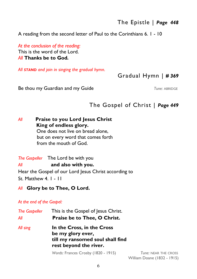The Epistle | *Page 448* 

A reading from the second letter of Paul to the Corinthians 6. 1 - 10

*At the conclusion of the reading:*  This is the word of the Lord. *All* **Thanks be to God***.* 

*All STAND and join in singing the gradual hymn.* 

Gradual Hymn | *# 369* 

Be thou my Guardian and my Guide *Tune: ABRIDGE* 

### The Gospel of Christ | *Page 449*

*All* **Praise to you Lord Jesus Christ King of endless glory.**  One does not live on bread alone, but on every word that comes forth from the mouth of God.

*The Gospeller* The Lord be with you *All* **and also with you.**  Hear the Gospel of our Lord Jesus Christ according to St. Matthew 4. 1 - 11

#### *All* **Glory be to Thee, O Lord.**

#### *At the end of the Gospel:*

| <b>The Gospeller</b> | This is the Gospel of Jesus Christ.                                                                           |  |  |  |
|----------------------|---------------------------------------------------------------------------------------------------------------|--|--|--|
| All                  | Praise be to Thee, O Christ.                                                                                  |  |  |  |
| All sing             | In the Cross, in the Cross<br>be my glory ever,<br>till my ransomed soul shall find<br>rest beyond the river. |  |  |  |

*Words:* Frances Crosby (1820 - 1915) *Tune:* NEAR THE CROSS

William Doane (1832 - 1915)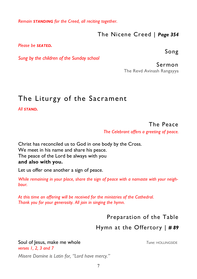*Remain STANDING for the Creed, all reciting together.* 

The Nicene Creed | *Page 354* 

*Please be SEATED.* 

Song

*Sung by the children of the Sunday school* 

Sermon The Revd Avinash Rangayya

## The Liturgy of the Sacrament

*All STAND.*

### The Peace

*The Celebrant offers a greeting of peace.*

Christ has reconciled us to God in one body by the Cross. We meet in his name and share his peace. The peace of the Lord be always with you **and also with you.** 

Let us offer one another a sign of peace.

*While remaining in your place, share the sign of peace with a namaste with your neighbour.* 

*At this time an offering will be received for the ministries of the Cathedral. Thank you for your generosity. All join in singing the hymn.* 

Preparation of the Table

### Hymn at the Offertory | *# 89*

**Soul of Jesus, make me whole** *Tune: HOLLINGSIDE verses 1, 2, 3 and 7 Misere Domine is Latin for, "Lord have mercy."*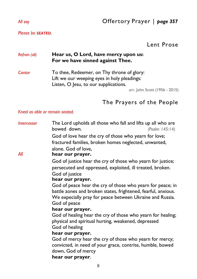#### *Please be SEATED.*

### Lent Prose

#### *Refrain (all)* **Hear us, O Lord, have mercy upon us: For we have sinned against Thee.**

**Cantor To thee, Redeemer, on Thy throne of glory:** Lift we our weeping eyes in holy pleadings: Listen, O Jesu, to our supplications.

arr. John Scott (1956 - 2015)

### The Prayers of the People

#### *Kneel as able or remain seated.*

| <b>Intercessor</b> | The Lord upholds all those who fall and lifts up all who are<br>bowed down.<br>(Psalm 145:14)                        |
|--------------------|----------------------------------------------------------------------------------------------------------------------|
|                    | God of love hear the cry of those who yearn for love;                                                                |
|                    | fractured families, broken homes neglected, unwanted,                                                                |
|                    | alone. God of love,                                                                                                  |
| All                | hear our prayer.                                                                                                     |
|                    | God of justice hear the cry of those who yearn for justice;                                                          |
|                    | persecuted and oppressed, exploited, ill treated, broken.                                                            |
|                    | God of justice                                                                                                       |
|                    | hear our prayer.                                                                                                     |
|                    | God of peace hear the cry of those who yearn for peace; in                                                           |
|                    | battle zones and broken states, frightened, fearful, anxious.                                                        |
|                    | We expecially pray for peace between Ukraine and Russia.                                                             |
|                    | God of peace                                                                                                         |
|                    | hear our prayer.                                                                                                     |
|                    | God of healing hear the cry of those who yearn for healing;<br>physical and spiritual hurting, weakened, depressed   |
|                    | God of healing                                                                                                       |
|                    | hear our prayer.                                                                                                     |
|                    | God of mercy hear the cry of those who yearn for mercy;<br>convicted, in need of your grace, contrite, humble, bowed |
|                    | down, God of mercy                                                                                                   |
|                    | hear our prayer.                                                                                                     |
|                    |                                                                                                                      |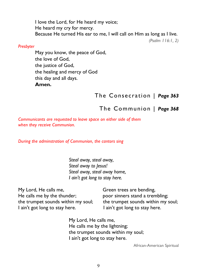I love the Lord, for He heard my voice; He heard my cry for mercy. Because He turned His ear to me, I will call on Him as long as I live.

#### *(Psalm 116:1, 2)*

#### *Presbyter*

 May you know, the peace of God, the love of God, the justice of God, the healing and mercy of God this day and all days.  **Amen.**

#### The Consecration | *Page 363*

#### The Communion | *Page 368*

*Communicants are requested to leave space on either side of them when they receive Communion.* 

*During the adminstration of Communion, the cantors sing* 

*Steal away, [steal a](https://www.definitions.net/definition/steal)way, Steal away to Jesus! Steal away, [steal a](https://www.definitions.net/definition/steal)way home, I ain't got long to stay here.* 

| My Lord, He calls me,              | Green trees are bending,           |
|------------------------------------|------------------------------------|
| He calls me by the thunder;        | poor sinners stand a trembling;    |
| the trumpet sounds within my soul; | the trumpet sounds within my soul; |
| I ain't got long to stay here.     | I ain't got long to stay here.     |

 My Lord, He calls me, He calls me by the lightning; the trumpet sounds within my soul; I ain't got long to stay here.

African-American Spiritual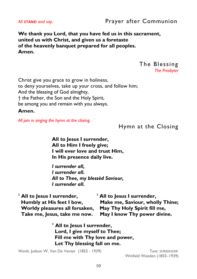**We thank you Lord, that you have fed us in this sacrament, united us with Christ, and given us a foretaste of the heavenly banquet prepared for all peoples. Amen.** 

> The Blessing *The Presbyter*

Christ give you grace to grow in holiness, to deny yourselves, take up your cross, and follow him; And the blessing of God almighty, † the Father, the Son and the Holy Spirit, be among you and remain with you always.

#### **Amen.**

*All join in singing the hymn at the closing.* 

Hymn at the Closing

**All to Jesus I surrender, All to Him I freely give; I will ever love and trust Him, In His presence daily live.** 

*I surrender all, I surrender all. All to Thee, my blessèd Saviour, I surrender all.* 

| $2$ All to Jesus I surrender,  | $3$ All to Jesus I surrender,   |
|--------------------------------|---------------------------------|
| Humbly at His feet I bow,      | Make me, Saviour, wholly Thine; |
| Worldy pleasures all forsaken, | May Thy Holy Spirit fill me,    |
| Take me, Jesus, take me now.   | May I know Thy power divine.    |

<sup>4</sup>**All to Jesus I surrender, Lord, I give myself to Thee; Fill me with Thy love and power, Let Thy blessing fall on me.** 

*Words:* Judson W. Van De Venter (1855 - 1939) *Tune:* SURRENDER

Winfield Weeden (1855–1939)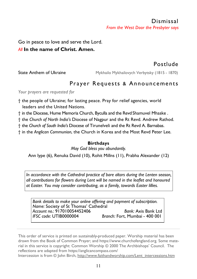### Dismissal *From the West Door the Presbyter says*

Go in peace to love and serve the Lord. *All* **In the name of Christ. Amen.** 

Postlude

State Anthem of Ukraine Mykhailo Mykhailovych Verbytsky (1815 - 1870)

### Prayer Requests & Announcements

*Your prayers are requested for* 

- † the people of Ukraine; for lasting peace. Pray for relief agencies, world leaders and the United Nations.
- † in the Diocese, Hume Memoria Church, Byculla and the Revd Shamuvel Mhaske .
- † the *Church of North India's* Diocese of Nagpur and the Rt Revd. Andrew Rathod.
- † the *Church of South India's* Diocese of Tirunelveli and the Rt Revd A. Barnabas.
- † in the *Anglican Communion*, the Church in Korea and the Most Revd Peter Lee.

#### **Birthdays**

*May God bless you abundantly.* 

Ann Iype (6), Renuka David (10), Rohit Millns (11), Prabha Alexander (12)

*In accordance with the Cathedral practice of bare altars during the Lenten season, all contributions for flowers during Lent will be named in the leaflet and honoured at Easter. You may consider contributing, as a family, towards Easter lillies.* 

*Bank details to make your online offering and payment of subscription. Name:* Society of St Thomas' Cathedral *Account no.:* 917010054452406 *Bank:* Axis Bank Ltd *Branch: Fort, Mumbai - 400 001* 

This order of service is printed on sustainably-produced paper. Worship material has been drawn from the Book of Common Prayer; and https://www.churchofengland.org. Some material in this service is copyright: Common Worship © 2000 The Archbishops' Council. The reflections are adapted from https://anglicancompass.com/ Intercession is from © John Birch, http://www.faithandworship.com/Lent\_intercessions.htm